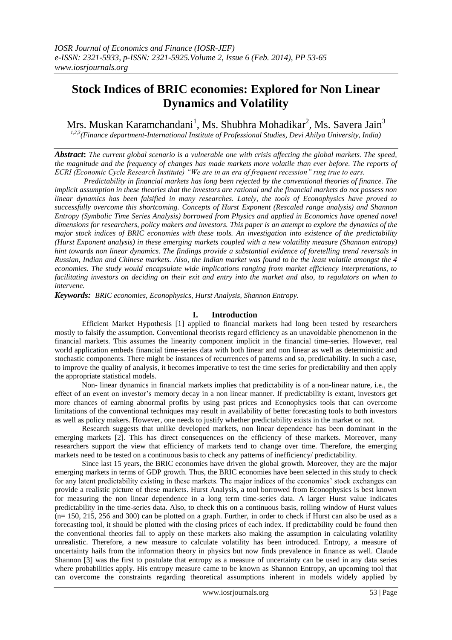# **Stock Indices of BRIC economies: Explored for Non Linear Dynamics and Volatility**

Mrs. Muskan Karamchandani<sup>1</sup>, Ms. Shubhra Mohadikar<sup>2</sup>, Ms. Savera Jain<sup>3</sup>

*1,2,3(Finance department-International Institute of Professional Studies, Devi Ahilya University, India)*

*Abstract***:** *The current global scenario is a vulnerable one with crisis affecting the global markets. The speed, the magnitude and the frequency of changes has made markets more volatile than ever before. The reports of ECRI (Economic Cycle Research Institute) "We are in an era of frequent recession" ring true to ears.*

*Predictability in financial markets has long been rejected by the conventional theories of finance. The implicit assumption in these theories that the investors are rational and the financial markets do not possess non linear dynamics has been falsified in many researches. Lately, the tools of Econophysics have proved to successfully overcome this shortcoming. Concepts of Hurst Exponent (Rescaled range analysis) and Shannon Entropy (Symbolic Time Series Analysis) borrowed from Physics and applied in Economics have opened novel dimensions for researchers, policy makers and investors. This paper is an attempt to explore the dynamics of the major stock indices of BRIC economies with these tools. An investigation into existence of the predictability (Hurst Exponent analysis) in these emerging markets coupled with a new volatility measure (Shannon entropy) hint towards non linear dynamics. The findings provide a substantial evidence of foretelling trend reversals in Russian, Indian and Chinese markets. Also, the Indian market was found to be the least volatile amongst the 4 economies. The study would encapsulate wide implications ranging from market efficiency interpretations, to facilitating investors on deciding on their exit and entry into the market and also, to regulators on when to intervene.*

*Keywords: BRIC economies, Econophysics, Hurst Analysis, Shannon Entropy.*

# **I. Introduction**

Efficient Market Hypothesis [1] applied to financial markets had long been tested by researchers mostly to falsify the assumption. Conventional theorists regard efficiency as an unavoidable phenomenon in the financial markets. This assumes the linearity component implicit in the financial time-series. However, real world application embeds financial time-series data with both linear and non linear as well as deterministic and stochastic components. There might be instances of recurrences of patterns and so, predictability. In such a case, to improve the quality of analysis, it becomes imperative to test the time series for predictability and then apply the appropriate statistical models.

Non- linear dynamics in financial markets implies that predictability is of a non-linear nature, i.e., the effect of an event on investor's memory decay in a non linear manner. If predictability is extant, investors get more chances of earning abnormal profits by using past prices and Econophysics tools that can overcome limitations of the conventional techniques may result in availability of better forecasting tools to both investors as well as policy makers. However, one needs to justify whether predictability exists in the market or not.

Research suggests that unlike developed markets, non linear dependence has been dominant in the emerging markets [2]. This has direct consequences on the efficiency of these markets. Moreover, many researchers support the view that efficiency of markets tend to change over time. Therefore, the emerging markets need to be tested on a continuous basis to check any patterns of inefficiency/ predictability.

Since last 15 years, the BRIC economies have driven the global growth. Moreover, they are the major emerging markets in terms of GDP growth. Thus, the BRIC economies have been selected in this study to check for any latent predictability existing in these markets. The major indices of the economies' stock exchanges can provide a realistic picture of these markets. Hurst Analysis, a tool borrowed from Econophysics is best known for measuring the non linear dependence in a long term time-series data. A larger Hurst value indicates predictability in the time-series data. Also, to check this on a continuous basis, rolling window of Hurst values (n= 150, 215, 256 and 300) can be plotted on a graph. Further, in order to check if Hurst can also be used as a forecasting tool, it should be plotted with the closing prices of each index. If predictability could be found then the conventional theories fail to apply on these markets also making the assumption in calculating volatility unrealistic. Therefore, a new measure to calculate volatility has been introduced. Entropy, a measure of uncertainty hails from the information theory in physics but now finds prevalence in finance as well. Claude Shannon [3] was the first to postulate that entropy as a measure of uncertainty can be used in any data series where probabilities apply. His entropy measure came to be known as Shannon Entropy, an upcoming tool that can overcome the constraints regarding theoretical assumptions inherent in models widely applied by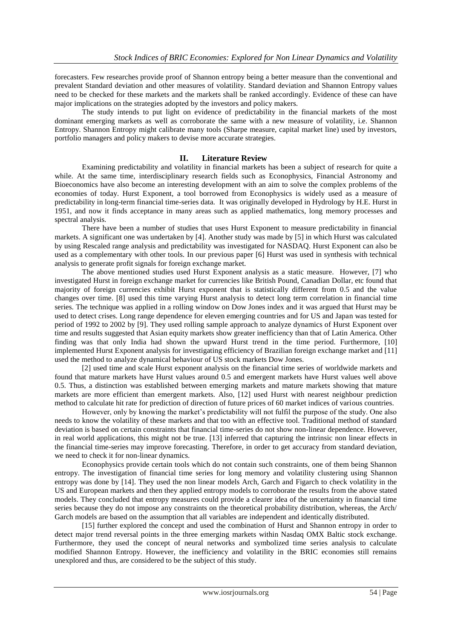forecasters. Few researches provide proof of Shannon entropy being a better measure than the conventional and prevalent Standard deviation and other measures of volatility. Standard deviation and Shannon Entropy values need to be checked for these markets and the markets shall be ranked accordingly. Evidence of these can have major implications on the strategies adopted by the investors and policy makers.

The study intends to put light on evidence of predictability in the financial markets of the most dominant emerging markets as well as corroborate the same with a new measure of volatility, i.e. Shannon Entropy. Shannon Entropy might calibrate many tools (Sharpe measure, capital market line) used by investors, portfolio managers and policy makers to devise more accurate strategies.

## **II. Literature Review**

Examining predictability and volatility in financial markets has been a subject of research for quite a while. At the same time, interdisciplinary research fields such as Econophysics, Financial Astronomy and Bioeconomics have also become an interesting development with an aim to solve the complex problems of the economies of today. Hurst Exponent, a tool borrowed from Econophysics is widely used as a measure of predictability in long-term financial time-series data. It was originally developed in Hydrology by H.E. Hurst in 1951, and now it finds acceptance in many areas such as applied mathematics, long memory processes and spectral analysis.

There have been a number of studies that uses Hurst Exponent to measure predictability in financial markets. A significant one was undertaken by [4]. Another study was made by [5] in which Hurst was calculated by using Rescaled range analysis and predictability was investigated for NASDAQ. Hurst Exponent can also be used as a complementary with other tools. In our previous paper [6] Hurst was used in synthesis with technical analysis to generate profit signals for foreign exchange market.

The above mentioned studies used Hurst Exponent analysis as a static measure. However, [7] who investigated Hurst in foreign exchange market for currencies like British Pound, Canadian Dollar, etc found that majority of foreign currencies exhibit Hurst exponent that is statistically different from 0.5 and the value changes over time. [8] used this time varying Hurst analysis to detect long term correlation in financial time series. The technique was applied in a rolling window on Dow Jones index and it was argued that Hurst may be used to detect crises. Long range dependence for eleven emerging countries and for US and Japan was tested for period of 1992 to 2002 by [9]. They used rolling sample approach to analyze dynamics of Hurst Exponent over time and results suggested that Asian equity markets show greater inefficiency than that of Latin America. Other finding was that only India had shown the upward Hurst trend in the time period. Furthermore, [10] implemented Hurst Exponent analysis for investigating efficiency of Brazilian foreign exchange market and [11] used the method to analyze dynamical behaviour of US stock markets Dow Jones.

[2] used time and scale Hurst exponent analysis on the financial time series of worldwide markets and found that mature markets have Hurst values around 0.5 and emergent markets have Hurst values well above 0.5. Thus, a distinction was established between emerging markets and mature markets showing that mature markets are more efficient than emergent markets. Also, [12] used Hurst with nearest neighbour prediction method to calculate hit rate for prediction of direction of future prices of 60 market indices of various countries.

However, only by knowing the market's predictability will not fulfil the purpose of the study. One also needs to know the volatility of these markets and that too with an effective tool. Traditional method of standard deviation is based on certain constraints that financial time-series do not show non-linear dependence. However, in real world applications, this might not be true. [13] inferred that capturing the intrinsic non linear effects in the financial time-series may improve forecasting. Therefore, in order to get accuracy from standard deviation, we need to check it for non-linear dynamics.

Econophysics provide certain tools which do not contain such constraints, one of them being Shannon entropy. The investigation of financial time series for long memory and volatility clustering using Shannon entropy was done by [14]. They used the non linear models Arch, Garch and Figarch to check volatility in the US and European markets and then they applied entropy models to corroborate the results from the above stated models. They concluded that entropy measures could provide a clearer idea of the uncertainty in financial time series because they do not impose any constraints on the theoretical probability distribution, whereas, the Arch/ Garch models are based on the assumption that all variables are independent and identically distributed.

[15] further explored the concept and used the combination of Hurst and Shannon entropy in order to detect major trend reversal points in the three emerging markets within Nasdaq OMX Baltic stock exchange. Furthermore, they used the concept of neural networks and symbolized time series analysis to calculate modified Shannon Entropy. However, the inefficiency and volatility in the BRIC economies still remains unexplored and thus, are considered to be the subject of this study.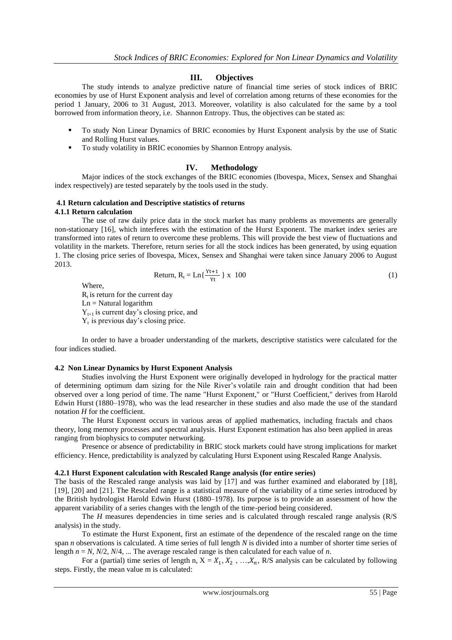# **III. Objectives**

The study intends to analyze predictive nature of financial time series of stock indices of BRIC economies by use of Hurst Exponent analysis and level of correlation among returns of these economies for the period 1 January, 2006 to 31 August, 2013. Moreover, volatility is also calculated for the same by a tool borrowed from information theory, i.e. Shannon Entropy. Thus, the objectives can be stated as:

- To study Non Linear Dynamics of BRIC economies by Hurst Exponent analysis by the use of Static and Rolling Hurst values.
- To study volatility in BRIC economies by Shannon Entropy analysis.

## **IV. Methodology**

Major indices of the stock exchanges of the BRIC economies (Ibovespa, Micex, Sensex and Shanghai index respectively) are tested separately by the tools used in the study.

# **4.1 Return calculation and Descriptive statistics of returns**

### **4.1.1 Return calculation**

The use of raw daily price data in the stock market has many problems as movements are generally non-stationary [16], which interferes with the estimation of the Hurst Exponent. The market index series are transformed into rates of return to overcome these problems. This will provide the best view of fluctuations and volatility in the markets. Therefore, return series for all the stock indices has been generated, by using equation 1. The closing price series of Ibovespa, Micex, Sensex and Shanghai were taken since January 2006 to August 2013.

$$
Return, R_t = Ln\{\frac{Yt+1}{Yt}\} \times 100
$$
\n(1)

Where,

 $R_t$  is return for the current day  $Ln = Natural logarithm$ 

 $Y_{t+1}$  is current day's closing price, and

 $Y_t$  is previous day's closing price.

In order to have a broader understanding of the markets, descriptive statistics were calculated for the four indices studied.

### **4.2 Non Linear Dynamics by Hurst Exponent Analysis**

Studies involving the Hurst Exponent were originally developed in hydrology for the practical matter of determining optimum dam sizing for the Nile River's volatile rain and drought condition that had been observed over a long period of time. The name "Hurst Exponent," or "Hurst Coefficient," derives from Harold Edwin Hurst (1880–1978), who was the lead researcher in these studies and also made the use of the standard notation *H* for the coefficient.

The Hurst Exponent occurs in various areas of applied mathematics, including fractals and chaos theory, long memory processes and spectral analysis. Hurst Exponent estimation has also been applied in areas ranging from biophysics to computer networking.

Presence or absence of predictability in BRIC stock markets could have strong implications for market efficiency. Hence, predictability is analyzed by calculating Hurst Exponent using Rescaled Range Analysis.

### **4.2.1 Hurst Exponent calculation with Rescaled Range analysis (for entire series)**

The basis of the Rescaled range analysis was laid by [17] and was further examined and elaborated by [18], [19], [20] and [21]. The Rescaled range is a [statistical](http://en.wikipedia.org/wiki/Statistical) measure of the variability of a time series introduced by the British hydrologist [Harold Edwin Hurst](http://en.wikipedia.org/wiki/Harold_Edwin_Hurst) (1880–1978). Its purpose is to provide an assessment of how the apparent variability of a series changes with the length of the time-period being considered.

The *H* measures dependencies in time series and is calculated through rescaled range analysis (R/S analysis) in the study.

To estimate the Hurst Exponent, first an estimate of the dependence of the rescaled range on the time span *n* observations is calculated. A time series of full length *N* is divided into a number of shorter time series of length *n* = *N*, *N*/2, *N*/4, ... The average rescaled range is then calculated for each value of *n*.

For a (partial) time series of length n,  $X = X_1, X_2, ..., X_n$ , R/S analysis can be calculated by following steps. Firstly, the mean value m is calculated: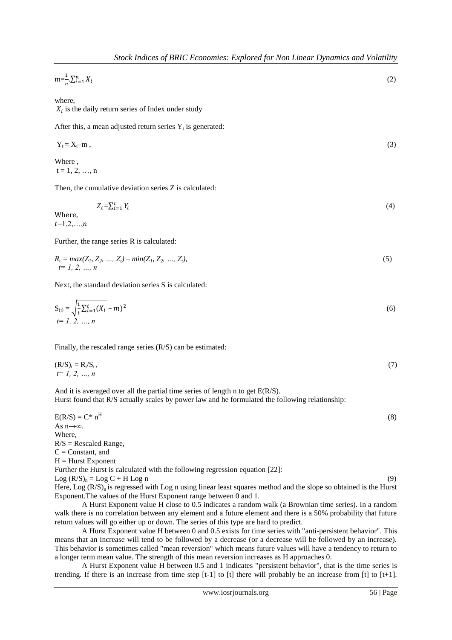$$
m = \frac{1}{n} \sum_{i=1}^{n} X_i
$$
\n<sup>(2)</sup>

where,

 $X_i$  is the daily return series of Index under study

After this, a mean adjusted return series  $Y_t$  is generated:

$$
Y_t = X_t - m \t{,} \t(3)
$$

Where ,  $t = 1, 2, ..., n$ 

Then, the cumulative deviation series Z is calculated:

 $Z_t = \sum_{i=1}^t Y_i$ (4)

Where,  $t=1,2,...,n$ 

Further, the range series R is calculated:

$$
R_t = \max(Z_1, Z_2, ..., Z_t) - \min(Z_1, Z_2, ..., Z_t),
$$
  
\n $t = 1, 2, ..., n$  (5)

Next, the standard deviation series S is calculated:

$$
S_{(t)} = \sqrt{\frac{1}{t} \sum_{i=1}^{t} (X_i - m)^2}
$$
  
(6)  
 $t = 1, 2, ..., n$ 

Finally, the rescaled range series (R/S) can be estimated:

$$
(\mathbf{R}/\mathbf{S})_t = \mathbf{R}_t / \mathbf{S}_t, \nt = 1, 2, ..., n
$$
\n(7)

And it is averaged over all the partial time series of length n to get E(R/S). Hurst found that R/S actually scales by power law and he formulated the following relationship:

 $E(R/S) = C^* n^H$  (8) As n→∞. Where,  $R/S =$  Rescaled Range,  $C =$ Constant, and  $H = Hurst$  Exponent Further the Hurst is calculated with the following regression equation [22]:  $\text{Log } (R/S)_n = \text{Log } C + H \text{ Log } n$  (9) Here, Log  $(R/S)_n$  is regressed with Log n using linear least squares method and the slope so obtained is the Hurst Exponent.The values of the Hurst Exponent range between 0 and 1.

A Hurst Exponent value H close to 0.5 indicates a random walk (a Brownian time series). In a random walk there is no correlation between any element and a future element and there is a 50% probability that future return values will go either up or down. The series of this type are hard to predict.

A Hurst Exponent value H between 0 and 0.5 exists for time series with "anti-persistent behavior". This means that an increase will tend to be followed by a decrease (or a decrease will be followed by an increase). This behavior is sometimes called "mean reversion" which means future values will have a tendency to return to a longer term mean value. The strength of this mean reversion increases as H approaches 0.

A Hurst Exponent value H between 0.5 and 1 indicates "persistent behavior", that is the time series is trending. If there is an increase from time step  $[t-1]$  to  $[t]$  there will probably be an increase from  $[t]$  to  $[t+1]$ .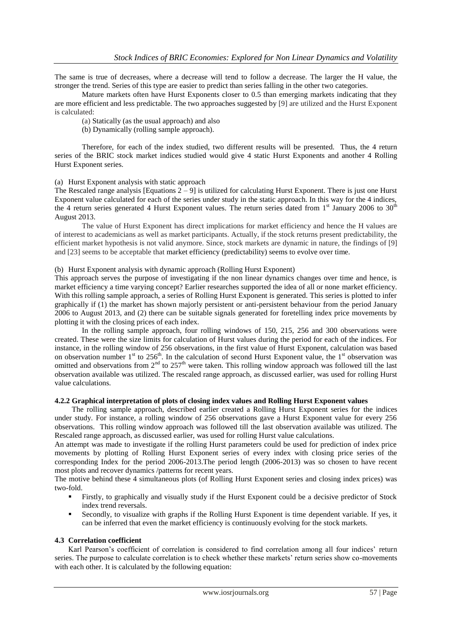The same is true of decreases, where a decrease will tend to follow a decrease. The larger the H value, the stronger the trend. Series of this type are easier to predict than series falling in the other two categories.

Mature markets often have Hurst Exponents closer to 0.5 than emerging markets indicating that they are more efficient and less predictable. The two approaches suggested by [9] are utilized and the Hurst Exponent is calculated:

(a) Statically (as the usual approach) and also

(b) Dynamically (rolling sample approach).

Therefore, for each of the index studied, two different results will be presented. Thus, the 4 return series of the BRIC stock market indices studied would give 4 static Hurst Exponents and another 4 Rolling Hurst Exponent series.

(a) Hurst Exponent analysis with static approach

The Rescaled range analysis [Equations  $2 - 9$ ] is utilized for calculating Hurst Exponent. There is just one Hurst Exponent value calculated for each of the series under study in the static approach. In this way for the 4 indices, the 4 return series generated 4 Hurst Exponent values. The return series dated from 1<sup>st</sup> January 2006 to 30<sup>th</sup> August 2013.

The value of Hurst Exponent has direct implications for market efficiency and hence the H values are of interest to academicians as well as market participants. Actually, if the stock returns present predictability, the efficient market hypothesis is not valid anymore. Since, stock markets are dynamic in nature, the findings of [9] and [23] seems to be acceptable that market efficiency (predictability) seems to evolve over time.

### (b) Hurst Exponent analysis with dynamic approach (Rolling Hurst Exponent)

This approach serves the purpose of investigating if the non linear dynamics changes over time and hence, is market efficiency a time varying concept? Earlier researches supported the idea of all or none market efficiency. With this rolling sample approach, a series of Rolling Hurst Exponent is generated. This series is plotted to infer graphically if (1) the market has shown majorly persistent or anti-persistent behaviour from the period January 2006 to August 2013, and (2) there can be suitable signals generated for foretelling index price movements by plotting it with the closing prices of each index.

In the rolling sample approach, four rolling windows of 150, 215, 256 and 300 observations were created. These were the size limits for calculation of Hurst values during the period for each of the indices. For instance, in the rolling window of 256 observations, in the first value of Hurst Exponent, calculation was based on observation number  $1<sup>st</sup>$  to 256<sup>th</sup>. In the calculation of second Hurst Exponent value, the  $1<sup>st</sup>$  observation was omitted and observations from  $2^{nd}$  to  $257<sup>th</sup>$  were taken. This rolling window approach was followed till the last observation available was utilized. The rescaled range approach, as discussed earlier, was used for rolling Hurst value calculations.

### **4.2.2 Graphical interpretation of plots of closing index values and Rolling Hurst Exponent values**

The rolling sample approach, described earlier created a Rolling Hurst Exponent series for the indices under study. For instance, a rolling window of 256 observations gave a Hurst Exponent value for every 256 observations. This rolling window approach was followed till the last observation available was utilized. The Rescaled range approach, as discussed earlier, was used for rolling Hurst value calculations.

An attempt was made to investigate if the rolling Hurst parameters could be used for prediction of index price movements by plotting of Rolling Hurst Exponent series of every index with closing price series of the corresponding Index for the period 2006-2013.The period length (2006-2013) was so chosen to have recent most plots and recover dynamics /patterns for recent years.

The motive behind these 4 simultaneous plots (of Rolling Hurst Exponent series and closing index prices) was two-fold.

- Firstly, to graphically and visually study if the Hurst Exponent could be a decisive predictor of Stock index trend reversals.
- Secondly, to visualize with graphs if the Rolling Hurst Exponent is time dependent variable. If yes, it can be inferred that even the market efficiency is continuously evolving for the stock markets.

### **4.3 Correlation coefficient**

Karl Pearson's coefficient of correlation is considered to find correlation among all four indices' return series. The purpose to calculate correlation is to check whether these markets' return series show co-movements with each other. It is calculated by the following equation: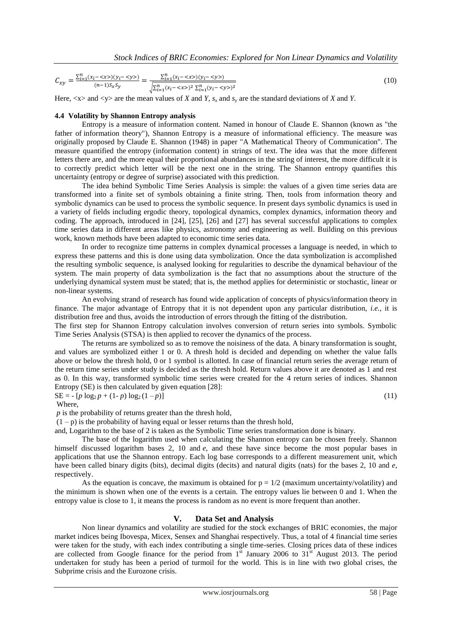$$
C_{xy} = \frac{\sum_{i=1}^{n} (x_i - \langle x \rangle)(y_i - \langle y \rangle)}{(n-1)S_x S_y} = \frac{\sum_{i=1}^{n} (x_i - \langle x \rangle)(y_i - \langle y \rangle)}{\sqrt{\sum_{i=1}^{n} (x_i - \langle x \rangle)^2 \sum_{i=1}^{n} (y_i - \langle y \rangle)^2}}
$$
(10)

Here,  $\langle x \rangle$  and  $\langle y \rangle$  are the mean values of *X* and *Y*, *s<sub>x</sub>* and *s<sub>x</sub>* are the standard deviations of *X* and *Y*.

#### **4.4 Volatility by Shannon Entropy analysis**

Entropy is a measure of information content. Named in honour of Claude E. Shannon (known as "the father of information theory"), Shannon Entropy is a measure of informational efficiency. The measure was originally proposed by Claude E. Shannon (1948) in paper "A Mathematical Theory of Communication". The measure quantified the entropy (information content) in strings of text. The idea was that the more different letters there are, and the more equal their proportional abundances in the string of interest, the more difficult it is to correctly predict which letter will be the next one in the string. The Shannon entropy quantifies this uncertainty (entropy or degree of surprise) associated with this prediction.

The idea behind Symbolic Time Series Analysis is simple: the values of a given time series data are transformed into a finite set of symbols obtaining a finite string. Then, tools from information theory and symbolic dynamics can be used to process the symbolic sequence. In present days symbolic dynamics is used in a variety of fields including ergodic theory, topological dynamics, complex dynamics, information theory and coding. The approach, introduced in [24], [25], [26] and [27] has several successful applications to complex time series data in different areas like physics, astronomy and engineering as well. Building on this previous work, known methods have been adapted to economic time series data.

In order to recognize time patterns in complex dynamical processes a language is needed, in which to express these patterns and this is done using data symbolization. Once the data symbolization is accomplished the resulting symbolic sequence, is analysed looking for regularities to describe the dynamical behaviour of the system. The main property of data symbolization is the fact that no assumptions about the structure of the underlying dynamical system must be stated; that is, the method applies for deterministic or stochastic, linear or non-linear systems.

An evolving strand of research has found wide application of concepts of physics/information theory in finance. The major advantage of Entropy that it is not dependent upon any particular distribution, *i.e.*, it is distribution free and thus, avoids the introduction of errors through the fitting of the distribution.

The first step for Shannon Entropy calculation involves conversion of return series into symbols. Symbolic Time Series Analysis (STSA) is then applied to recover the dynamics of the process.

The returns are symbolized so as to remove the noisiness of the data. A binary transformation is sought, and values are symbolized either 1 or 0. A thresh hold is decided and depending on whether the value falls above or below the thresh hold, 0 or 1 symbol is allotted. In case of financial return series the average return of the return time series under study is decided as the thresh hold. Return values above it are denoted as 1 and rest as 0. In this way, transformed symbolic time series were created for the 4 return series of indices. Shannon Entropy (SE) is then calculated by given equation [28]:  $SE = - [p \log_2 p + (1-p) \log_2 (1-p)]$  (11)

Where,

*p* is the probability of returns greater than the thresh hold,

 $(1-p)$  is the probability of having equal or lesser returns than the thresh hold,

and, Logarithm to the base of 2 is taken as the Symbolic Time series transformation done is binary.

The base of the logarithm used when calculating the Shannon entropy can be chosen freely. Shannon himself discussed logarithm bases 2, 10 and *e*, and these have since become the most popular bases in applications that use the Shannon entropy. Each log base corresponds to a different measurement unit, which have been called binary digits (bits), decimal digits (decits) and natural digits (nats) for the bases 2, 10 and *e*, respectively.

As the equation is concave, the maximum is obtained for  $p = 1/2$  (maximum uncertainty/volatility) and the minimum is shown when one of the events is a certain. The entropy values lie between 0 and 1. When the entropy value is close to 1, it means the process is random as no event is more frequent than another.

### **V. Data Set and Analysis**

Non linear dynamics and volatility are studied for the stock exchanges of BRIC economies, the major market indices being Ibovespa, Micex, Sensex and Shanghai respectively. Thus, a total of 4 financial time series were taken for the study, with each index contributing a single time-series. Closing prices data of these indices are collected from Google finance for the period from  $1<sup>st</sup>$  January 2006 to  $31<sup>st</sup>$  August 2013. The period undertaken for study has been a period of turmoil for the world. This is in line with two global crises, the Subprime crisis and the Eurozone crisis.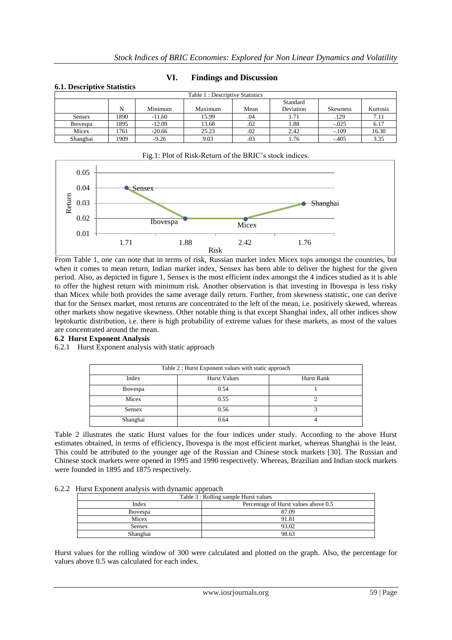| <b>6.1. Descriptive Statistics</b> |      |          |         |      |           |                 |          |
|------------------------------------|------|----------|---------|------|-----------|-----------------|----------|
| Table 1: Descriptive Statistics    |      |          |         |      |           |                 |          |
|                                    |      |          |         |      | Standard  |                 |          |
|                                    | N    | Minimum  | Maximum | Mean | Deviation | <b>Skewness</b> | Kurtosis |
| <b>Sensex</b>                      | 1890 | $-11.60$ | 15.99   | .04  | 1.71      | .129            | 7.11     |
| <b>Ibovespa</b>                    | 1895 | $-12.09$ | 13.68   | .02  | 1.88      | $-.025$         | 6.17     |
| Micex                              | 1761 | $-20.66$ | 25.23   | .02  | 2.42      | $-.109$         | 16.30    |
| Shanghai                           | 1909 | $-9.26$  | 9.03    | .03  | 1.76      | $-.405$         | 3.35     |

# **VI. Findings and Discussion**



### From Table 1, one can note that in terms of risk, Russian market index Micex tops amongst the countries, but when it comes to mean return, Indian market index, Sensex has been able to deliver the highest for the given period. Also, as depicted in figure 1, Sensex is the most efficient index amongst the 4 indices studied as it is able to offer the highest return with minimum risk. Another observation is that investing in Ibovespa is less risky than Micex while both provides the same average daily return. Further, from skewness statistic, one can derive that for the Sensex market, most returns are concentrated to the left of the mean, i.e. positively skewed, whereas other markets show negative skewness. Other notable thing is that except Shanghai index, all other indices show leptokurtic distribution, i.e. there is high probability of extreme values for these markets, as most of the values are concentrated around the mean.

### **6.2 Hurst Exponent Analysis**

### 6.2.1 Hurst Exponent analysis with static approach

| Table 2 : Hurst Exponent values with static approach |                     |            |  |  |
|------------------------------------------------------|---------------------|------------|--|--|
| Index                                                | <b>Hurst Values</b> | Hurst Rank |  |  |
| Ibovespa                                             | 0.54                |            |  |  |
| Micex                                                | 0.55                |            |  |  |
| <b>Sensex</b>                                        | 0.56                |            |  |  |
| Shanghai                                             | 0.64                |            |  |  |

Table 2 illustrates the static Hurst values for the four indices under study. According to the above Hurst estimates obtained, in terms of efficiency, Ibovespa is the most efficient market, whereas Shanghai is the least. This could be attributed to the younger age of the Russian and Chinese stock markets [30]. The Russian and Chinese stock markets were opened in 1995 and 1990 respectively. Whereas, Brazilian and Indian stock markets were founded in 1895 and 1875 respectively.

### 6.2.2 Hurst Exponent analysis with dynamic approach

| Table 3 : Rolling sample Hurst values |                                      |  |  |
|---------------------------------------|--------------------------------------|--|--|
| Index                                 | Percentage of Hurst values above 0.5 |  |  |
| <b>Ibovespa</b>                       | 87.09                                |  |  |
| Micex                                 | 91.81                                |  |  |
| Sensex                                | 93.02                                |  |  |
| Shanghai                              | 98.63                                |  |  |

Hurst values for the rolling window of 300 were calculated and plotted on the graph. Also, the percentage for values above 0.5 was calculated for each index.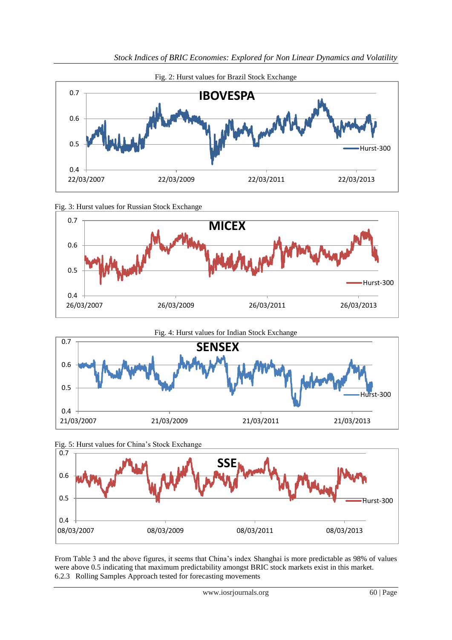









From Table 3 and the above figures, it seems that China's index Shanghai is more predictable as 98% of values were above 0.5 indicating that maximum predictability amongst BRIC stock markets exist in this market. 6.2.3 Rolling Samples Approach tested for forecasting movements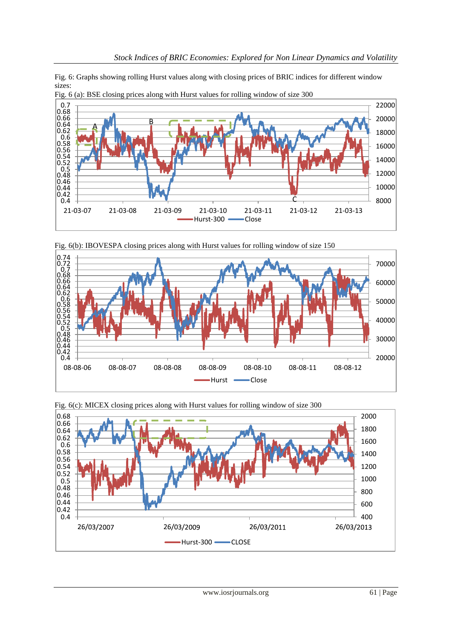Fig. 6: Graphs showing rolling Hurst values along with closing prices of BRIC indices for different window sizes:



Fig. 6 (a): BSE closing prices along with Hurst values for rolling window of size 300







Fig. 6(c): MICEX closing prices along with Hurst values for rolling window of size 300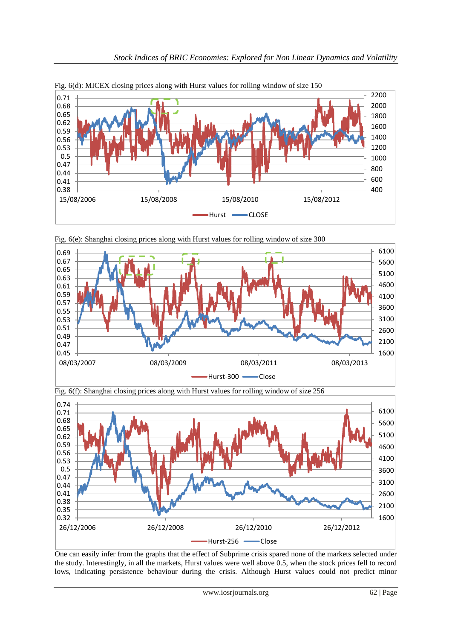









One can easily infer from the graphs that the effect of Subprime crisis spared none of the markets selected under the study. Interestingly, in all the markets, Hurst values were well above 0.5, when the stock prices fell to record lows, indicating persistence behaviour during the crisis. Although Hurst values could not predict minor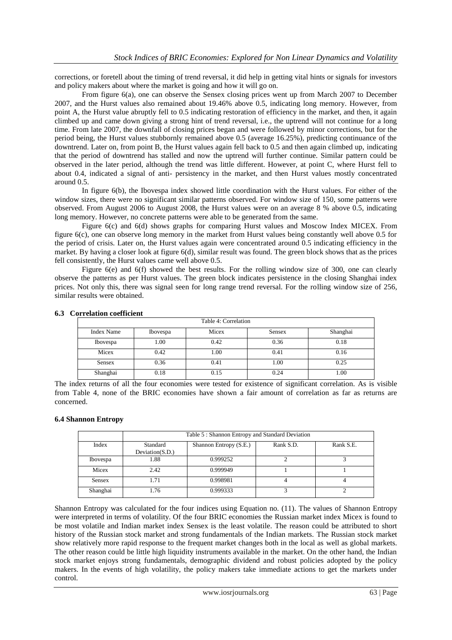corrections, or foretell about the timing of trend reversal, it did help in getting vital hints or signals for investors and policy makers about where the market is going and how it will go on.

From figure 6(a), one can observe the Sensex closing prices went up from March 2007 to December 2007, and the Hurst values also remained about 19.46% above 0.5, indicating long memory. However, from point A, the Hurst value abruptly fell to 0.5 indicating restoration of efficiency in the market, and then, it again climbed up and came down giving a strong hint of trend reversal, i.e., the uptrend will not continue for a long time. From late 2007, the downfall of closing prices began and were followed by minor corrections, but for the period being, the Hurst values stubbornly remained above 0.5 (average 16.25%), predicting continuance of the downtrend. Later on, from point B, the Hurst values again fell back to 0.5 and then again climbed up, indicating that the period of downtrend has stalled and now the uptrend will further continue. Similar pattern could be observed in the later period, although the trend was little different. However, at point C, where Hurst fell to about 0.4, indicated a signal of anti- persistency in the market, and then Hurst values mostly concentrated around 0.5.

In figure 6(b), the Ibovespa index showed little coordination with the Hurst values. For either of the window sizes, there were no significant similar patterns observed. For window size of 150, some patterns were observed. From August 2006 to August 2008, the Hurst values were on an average 8 % above 0.5, indicating long memory. However, no concrete patterns were able to be generated from the same.

Figure 6(c) and 6(d) shows graphs for comparing Hurst values and Moscow Index MICEX. From figure 6(c), one can observe long memory in the market from Hurst values being constantly well above 0.5 for the period of crisis. Later on, the Hurst values again were concentrated around 0.5 indicating efficiency in the market. By having a closer look at figure 6(d), similar result was found. The green block shows that as the prices fell consistently, the Hurst values came well above 0.5.

Figure 6(e) and 6(f) showed the best results. For the rolling window size of 300, one can clearly observe the patterns as per Hurst values. The green block indicates persistence in the closing Shanghai index prices. Not only this, there was signal seen for long range trend reversal. For the rolling window size of 256, similar results were obtained.

| Table 4: Correlation |                 |       |        |          |
|----------------------|-----------------|-------|--------|----------|
| <b>Index Name</b>    | <b>Ibovespa</b> | Micex | Sensex | Shanghai |
| Ibovespa             | 1.00            | 0.42  | 0.36   | 0.18     |
| Micex                | 0.42            | 1.00  | 0.41   | 0.16     |
| <b>Sensex</b>        | 0.36            | 0.41  | 1.00   | 0.25     |
| Shanghai             | 0.18            | 0.15  | 0.24   | 1.00     |

### **6.3 Correlation coefficient**

The index returns of all the four economies were tested for existence of significant correlation. As is visible from Table 4, none of the BRIC economies have shown a fair amount of correlation as far as returns are concerned.

### **6.4 Shannon Entropy**

|                 | Table 5: Shannon Entropy and Standard Deviation |                        |           |           |  |
|-----------------|-------------------------------------------------|------------------------|-----------|-----------|--|
| Index           | Standard<br>Deviation(S.D.)                     | Shannon Entropy (S.E.) | Rank S.D. | Rank S.E. |  |
| <b>Ibovespa</b> | 1.88                                            | 0.999252               |           |           |  |
| Micex           | 2.42                                            | 0.999949               |           |           |  |
| <b>Sensex</b>   | 1.71                                            | 0.998981               |           |           |  |
| Shanghai        | 1.76                                            | 0.999333               |           |           |  |

Shannon Entropy was calculated for the four indices using Equation no. (11). The values of Shannon Entropy were interpreted in terms of volatility. Of the four BRIC economies the Russian market index Micex is found to be most volatile and Indian market index Sensex is the least volatile. The reason could be attributed to short history of the Russian stock market and strong fundamentals of the Indian markets. The Russian stock market show relatively more rapid response to the frequent market changes both in the local as well as global markets. The other reason could be little high liquidity instruments available in the market. On the other hand, the Indian stock market enjoys strong fundamentals, demographic dividend and robust policies adopted by the policy makers. In the events of high volatility, the policy makers take immediate actions to get the markets under control.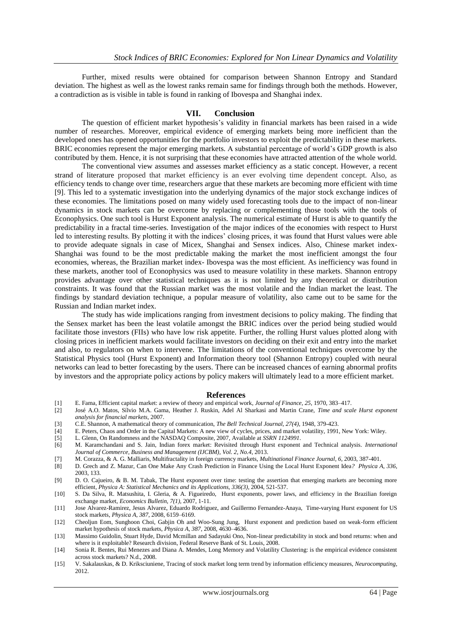Further, mixed results were obtained for comparison between Shannon Entropy and Standard deviation. The highest as well as the lowest ranks remain same for findings through both the methods. However, a contradiction as is visible in table is found in ranking of Ibovespa and Shanghai index.

### **VII. Conclusion**

The question of efficient market hypothesis's validity in financial markets has been raised in a wide number of researches. Moreover, empirical evidence of emerging markets being more inefficient than the developed ones has opened opportunities for the portfolio investors to exploit the predictability in these markets. BRIC economies represent the major emerging markets. A substantial percentage of world's GDP growth is also contributed by them. Hence, it is not surprising that these economies have attracted attention of the whole world.

The conventional view assumes and assesses market efficiency as a static concept. However, a recent strand of literature proposed that market efficiency is an ever evolving time dependent concept. Also, as efficiency tends to change over time, researchers argue that these markets are becoming more efficient with time [9]. This led to a systematic investigation into the underlying dynamics of the major stock exchange indices of these economies. The limitations posed on many widely used forecasting tools due to the impact of non-linear dynamics in stock markets can be overcome by replacing or complementing those tools with the tools of Econophysics. One such tool is Hurst Exponent analysis. The numerical estimate of Hurst is able to quantify the predictability in a fractal time-series. Investigation of the major indices of the economies with respect to Hurst led to interesting results. By plotting it with the indices' closing prices, it was found that Hurst values were able to provide adequate signals in case of Micex, Shanghai and Sensex indices. Also, Chinese market index-Shanghai was found to be the most predictable making the market the most inefficient amongst the four economies, whereas, the Brazilian market index- Ibovespa was the most efficient. As inefficiency was found in these markets, another tool of Econophysics was used to measure volatility in these markets. Shannon entropy provides advantage over other statistical techniques as it is not limited by any theoretical or distribution constraints. It was found that the Russian market was the most volatile and the Indian market the least. The findings by standard deviation technique, a popular measure of volatility, also came out to be same for the Russian and Indian market index.

The study has wide implications ranging from investment decisions to policy making. The finding that the Sensex market has been the least volatile amongst the BRIC indices over the period being studied would facilitate those investors (FIIs) who have low risk appetite. Further, the rolling Hurst values plotted along with closing prices in inefficient markets would facilitate investors on deciding on their exit and entry into the market and also, to regulators on when to intervene. The limitations of the conventional techniques overcome by the Statistical Physics tool (Hurst Exponent) and Information theory tool (Shannon Entropy) coupled with neural networks can lead to better forecasting by the users. There can be increased chances of earning abnormal profits by investors and the appropriate policy actions by policy makers will ultimately lead to a more efficient market.

### **References**

- [1] E. Fama, Efficient capital market: a review of theory and empirical work, *Journal of Finance*, *25*, 1970, 383–417.
- [2] José A.O. Matos, Sílvio M.A. Gama, Heather J. Ruskin, Adel Al Sharkasi and Martin Crane, *Time and scale Hurst exponent analysis for financial markets,* 2007.
- [3] C.E. Shannon, A mathematical theory of communication, *The Bell Technical Journal, 27(4),* 1948, 379-423.
- [4] E. Peters, Chaos and Order in the Capital Markets: A new view of cycles, prices, and market volatility, 1991, New York: Wiley.<br>
[5] L. Glenn. On Randomness and the NASDAO Composite. 2007. Available at SSRN 1124991.
- [5] L. Glenn, On Randomness and the NASDAQ Composite, 2007, Available at *SSRN 1124991*.
- [6] M. Karamchandani and S. Jain, Indian forex market: Revisited through Hurst exponent and Technical analysis. *International Journal of Commerce, Business and Management (IJCBM), Vol. 2, No.4*, 2013.
- [7] M. Corazza, & A. G. Malliaris, Multifractality in foreign currency markets, *Multinational Finance Journal, 6*, 2003, 387-401.
- [8] D. Grech and Z. Mazur, Can One Make Any Crash Prediction in Finance Using the Local Hurst Exponent Idea*? Physica A, 336*, 2003, 133.

[9] D. O. Cajueiro, & B. M. Tabak, The Hurst exponent over time: testing the assertion that emerging markets are becoming more efficient, *Physica A: Statistical Mechanics and its Applications, 336(3)*, 2004, 521-537.

- [10] S. Da Silva, R. Matsushita, I. Gleria, & A. Figueiredo, Hurst exponents, power laws, and efficiency in the Brazilian foreign exchange market, *Economics Bulletin, 7(1),* 2007, 1-11.
- [11] Jose Alvarez-Ramirez, Jesus Alvarez, Eduardo Rodriguez, and Guillermo Fernandez-Anaya, Time-varying Hurst exponent for US stock markets, *Physica A, 387*, 2008, 6159–6169.
- [12] Cheoljun Eom, Sunghoon Choi, Gabjin Oh and Woo-Sung Jung, Hurst exponent and prediction based on weak-form efficient market hypothesis of stock markets, *Physica A, 387*, 2008, 4630–4636.
- [13] Massimo Guidolin, Stuart Hyde, David Mcmillan and Sadayuki Ono, Non-linear predictability in stock and bond returns: when and where is it exploitable? Research division, Federal Reserve Bank of St. Louis, 2008.
- [14] Sonia R. Bentes, Rui Menezes and Diana A. Mendes, Long Memory and Volatility Clustering: is the empirical evidence consistent across stock markets? N.d., 2008.
- [15] V. Sakalauskas, & D. Kriksciuniene, Tracing of stock market long term trend by information efficiency measures, *Neurocomputing*, 2012.